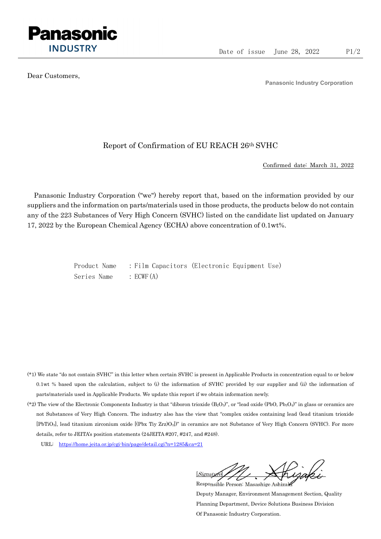

Dear Customers,

Panasonic Industry Corporation

## Report of Confirmation of EU REACH 26th SVHC

Confirmed date: March 31, 2022

Panasonic Industry Corporation ("we") hereby report that, based on the information provided by our suppliers and the information on parts/materials used in those products, the products below do not contain any of the 223 Substances of Very High Concern (SVHC) listed on the candidate list updated on January 17, 2022 by the European Chemical Agency (ECHA) above concentration of 0.1wt%.

> Product Name : Film Capacitors (Electronic Equipment Use) Series Name : ECWF(A)

- (\*1) We state "do not contain SVHC" in this letter when certain SVHC is present in Applicable Products in concentration equal to or below 0.1wt % based upon the calculation, subject to (i) the information of SVHC provided by our supplier and (ii) the information of parts/materials used in Applicable Products. We update this report if we obtain information newly.
- (\*2) The view of the Electronic Components Industry is that "diboron trioxide  $(B_2O_3)$ ", or "lead oxide (PbO, Pb<sub>3</sub>O<sub>4</sub>)" in glass or ceramics are not Substances of Very High Concern. The industry also has the view that "complex oxides containing lead (lead titanium trioxide [PbTiO3], lead titanium zirconium oxide [(Pbx Tiy Zrz)O3])" in ceramics are not Substance of Very High Concern (SVHC). For more details, refer to JEITA's position statements (24JEITA #207, #247, and #248).
	- URL: https://home.jeita.or.jp/cgi-bin/page/detail.cgi?n=1285&ca=21

[Signature] Responsible Person: Masashige Ashizaki

Deputy Manager, Environment Management Section, Quality Planning Department, Device Solutions Business Division Of Panasonic Industry Corporation.